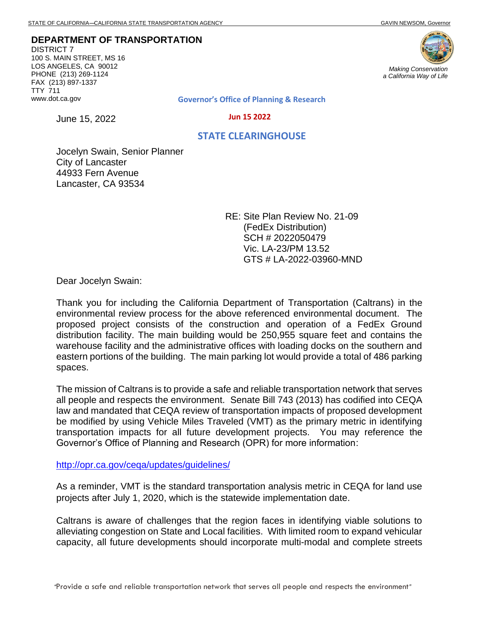**DEPARTMENT OF TRANSPORTATION**

DISTRICT 7 100 S. MAIN STREET, MS 16 LOS ANGELES, CA 90012 PHONE (213) 269-1124 FAX (213) 897-1337 TTY 711 www.dot.ca.gov



**Governor's Office of Planning & Research**

June 15, 2022

 **Jun 15 2022**

## **STATE CLEARINGHOUSE**

Jocelyn Swain, Senior Planner City of Lancaster 44933 Fern Avenue Lancaster, CA 93534

> RE: Site Plan Review No. 21-09 (FedEx Distribution) SCH # 2022050479 Vic. LA-23/PM 13.52 GTS # LA-2022-03960-MND

Dear Jocelyn Swain:

Thank you for including the California Department of Transportation (Caltrans) in the environmental review process for the above referenced environmental document. The proposed project consists of the construction and operation of a FedEx Ground distribution facility. The main building would be 250,955 square feet and contains the warehouse facility and the administrative offices with loading docks on the southern and eastern portions of the building. The main parking lot would provide a total of 486 parking spaces.

The mission of Caltrans is to provide a safe and reliable transportation network that serves all people and respects the environment. Senate Bill 743 (2013) has codified into CEQA law and mandated that CEQA review of transportation impacts of proposed development be modified by using Vehicle Miles Traveled (VMT) as the primary metric in identifying transportation impacts for all future development projects. You may reference the Governor's Office of Planning and Research (OPR) for more information:

<http://opr.ca.gov/ceqa/updates/guidelines/>

As a reminder, VMT is the standard transportation analysis metric in CEQA for land use projects after July 1, 2020, which is the statewide implementation date.

Caltrans is aware of challenges that the region faces in identifying viable solutions to alleviating congestion on State and Local facilities. With limited room to expand vehicular capacity, all future developments should incorporate multi-modal and complete streets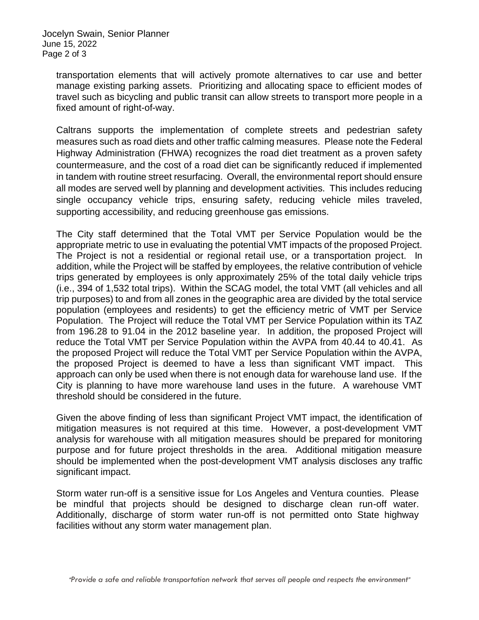Jocelyn Swain, Senior Planner June 15, 2022 Page 2 of 3

> transportation elements that will actively promote alternatives to car use and better manage existing parking assets. Prioritizing and allocating space to efficient modes of travel such as bicycling and public transit can allow streets to transport more people in a fixed amount of right-of-way.

> Caltrans supports the implementation of complete streets and pedestrian safety measures such as road diets and other traffic calming measures. Please note the Federal Highway Administration (FHWA) recognizes the road diet treatment as a proven safety countermeasure, and the cost of a road diet can be significantly reduced if implemented in tandem with routine street resurfacing. Overall, the environmental report should ensure all modes are served well by planning and development activities. This includes reducing single occupancy vehicle trips, ensuring safety, reducing vehicle miles traveled, supporting accessibility, and reducing greenhouse gas emissions.

> The City staff determined that the Total VMT per Service Population would be the appropriate metric to use in evaluating the potential VMT impacts of the proposed Project. The Project is not a residential or regional retail use, or a transportation project. In addition, while the Project will be staffed by employees, the relative contribution of vehicle trips generated by employees is only approximately 25% of the total daily vehicle trips (i.e., 394 of 1,532 total trips). Within the SCAG model, the total VMT (all vehicles and all trip purposes) to and from all zones in the geographic area are divided by the total service population (employees and residents) to get the efficiency metric of VMT per Service Population. The Project will reduce the Total VMT per Service Population within its TAZ from 196.28 to 91.04 in the 2012 baseline year. In addition, the proposed Project will reduce the Total VMT per Service Population within the AVPA from 40.44 to 40.41. As the proposed Project will reduce the Total VMT per Service Population within the AVPA, the proposed Project is deemed to have a less than significant VMT impact. This approach can only be used when there is not enough data for warehouse land use. If the City is planning to have more warehouse land uses in the future. A warehouse VMT threshold should be considered in the future.

> Given the above finding of less than significant Project VMT impact, the identification of mitigation measures is not required at this time. However, a post-development VMT analysis for warehouse with all mitigation measures should be prepared for monitoring purpose and for future project thresholds in the area. Additional mitigation measure should be implemented when the post-development VMT analysis discloses any traffic significant impact.

Storm water run-off is a sensitive issue for Los Angeles and Ventura counties. Please be mindful that projects should be designed to discharge clean run-off water. Additionally, discharge of storm water run-off is not permitted onto State highway facilities without any storm water management plan.